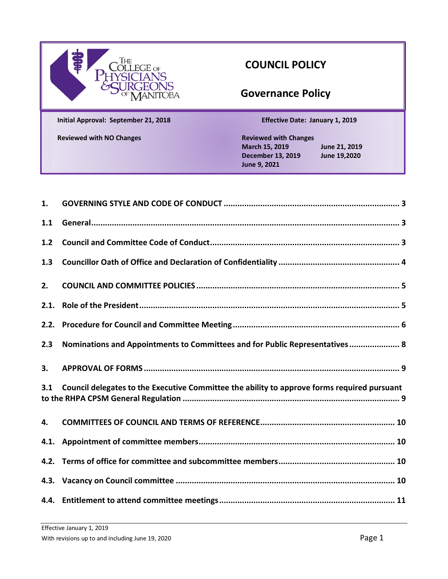| The<br><b>JLLEGE</b> OF<br>ŶŚĨĊĬĂÑS<br>}URGEONS<br><sup>of</sup> MANITOBA |
|---------------------------------------------------------------------------|
| Initial Approval: September 21, 2018                                      |

# **COUNCIL POLICY**

# **Governance Policy**

**Initial Approval: September 21, 2018 Effective Date: January 1, 2019**

**Reviewed with NO Changes Reviewed with Changes March 15, 2019 June 21, 2019 December 13, 2019 June 19,2020 June 9, 2021**

| 1.    |                                                                                             |  |
|-------|---------------------------------------------------------------------------------------------|--|
| 1.1   |                                                                                             |  |
| $1.2$ |                                                                                             |  |
| 1.3   |                                                                                             |  |
| 2.    |                                                                                             |  |
| 2.1.  |                                                                                             |  |
| 2.2.  |                                                                                             |  |
| 2.3   | Nominations and Appointments to Committees and for Public Representatives  8                |  |
|       |                                                                                             |  |
| 3.    |                                                                                             |  |
| 3.1   | Council delegates to the Executive Committee the ability to approve forms required pursuant |  |
| 4.    |                                                                                             |  |
|       |                                                                                             |  |
|       |                                                                                             |  |
|       |                                                                                             |  |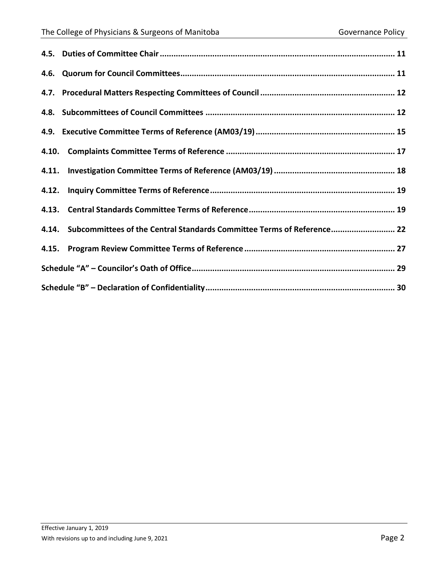| 4.14. Subcommittees of the Central Standards Committee Terms of Reference 22 |  |
|------------------------------------------------------------------------------|--|
|                                                                              |  |
|                                                                              |  |
|                                                                              |  |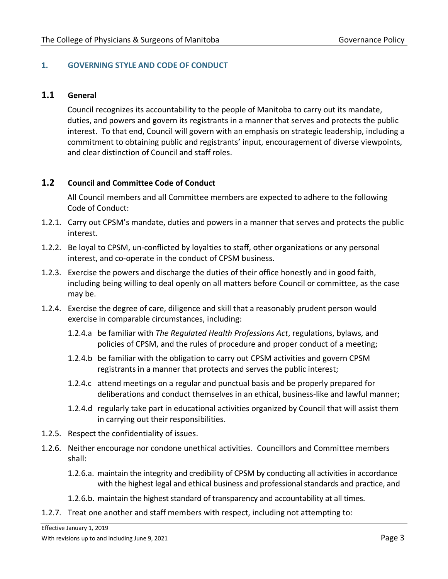# <span id="page-2-0"></span>**1. GOVERNING STYLE AND CODE OF CONDUCT**

#### <span id="page-2-1"></span>**1.1 General**

Council recognizes its accountability to the people of Manitoba to carry out its mandate, duties, and powers and govern its registrants in a manner that serves and protects the public interest. To that end, Council will govern with an emphasis on strategic leadership, including a commitment to obtaining public and registrants' input, encouragement of diverse viewpoints, and clear distinction of Council and staff roles.

#### <span id="page-2-2"></span>**1.2 Council and Committee Code of Conduct**

All Council members and all Committee members are expected to adhere to the following Code of Conduct:

- 1.2.1. Carry out CPSM's mandate, duties and powers in a manner that serves and protects the public interest.
- 1.2.2. Be loyal to CPSM, un-conflicted by loyalties to staff, other organizations or any personal interest, and co-operate in the conduct of CPSM business.
- 1.2.3. Exercise the powers and discharge the duties of their office honestly and in good faith, including being willing to deal openly on all matters before Council or committee, as the case may be.
- 1.2.4. Exercise the degree of care, diligence and skill that a reasonably prudent person would exercise in comparable circumstances, including:
	- 1.2.4.a be familiar with *The Regulated Health Professions Act*, regulations, bylaws, and policies of CPSM, and the rules of procedure and proper conduct of a meeting;
	- 1.2.4.b be familiar with the obligation to carry out CPSM activities and govern CPSM registrants in a manner that protects and serves the public interest;
	- 1.2.4.c attend meetings on a regular and punctual basis and be properly prepared for deliberations and conduct themselves in an ethical, business-like and lawful manner;
	- 1.2.4.d regularly take part in educational activities organized by Council that will assist them in carrying out their responsibilities.
- 1.2.5. Respect the confidentiality of issues.
- 1.2.6. Neither encourage nor condone unethical activities. Councillors and Committee members shall:
	- 1.2.6.a. maintain the integrity and credibility of CPSM by conducting all activities in accordance with the highest legal and ethical business and professional standards and practice, and
	- 1.2.6.b. maintain the highest standard of transparency and accountability at all times.
- 1.2.7. Treat one another and staff members with respect, including not attempting to: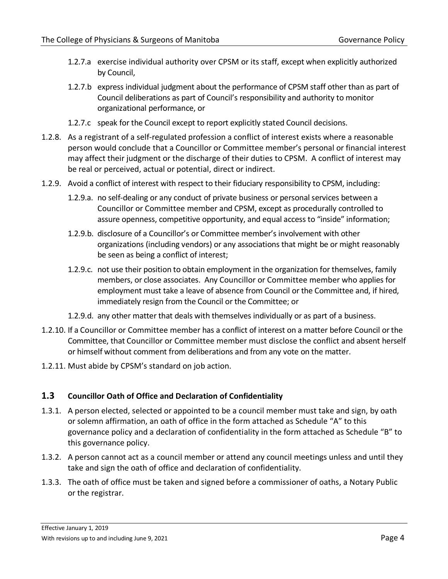- 1.2.7.a exercise individual authority over CPSM or its staff, except when explicitly authorized by Council,
- 1.2.7.b express individual judgment about the performance of CPSM staff other than as part of Council deliberations as part of Council's responsibility and authority to monitor organizational performance, or
- 1.2.7.c speak for the Council except to report explicitly stated Council decisions.
- 1.2.8. As a registrant of a self-regulated profession a conflict of interest exists where a reasonable person would conclude that a Councillor or Committee member's personal or financial interest may affect their judgment or the discharge of their duties to CPSM. A conflict of interest may be real or perceived, actual or potential, direct or indirect.
- 1.2.9. Avoid a conflict of interest with respect to their fiduciary responsibility to CPSM, including:
	- 1.2.9.a. no self-dealing or any conduct of private business or personal services between a Councillor or Committee member and CPSM, except as procedurally controlled to assure openness, competitive opportunity, and equal access to "inside" information;
	- 1.2.9.b. disclosure of a Councillor's or Committee member's involvement with other organizations (including vendors) or any associationsthat might be or might reasonably be seen as being a conflict of interest;
	- 1.2.9.c. not use their position to obtain employment in the organization for themselves, family members, or close associates. Any Councillor or Committee member who applies for employment must take a leave of absence from Council or the Committee and, if hired, immediately resign from the Council or the Committee; or
	- 1.2.9.d. any other matter that deals with themselves individually or as part of a business.
- 1.2.10. If a Councillor or Committee member has a conflict of interest on a matter before Council orthe Committee, that Councillor or Committee member must disclose the conflict and absent herself or himself without comment from deliberations and from any vote on the matter.
- 1.2.11. Must abide by CPSM's standard on job action.

# <span id="page-3-0"></span>**1.3 Councillor Oath of Office and Declaration of Confidentiality**

- 1.3.1. A person elected, selected or appointed to be a council member must take and sign, by oath or solemn affirmation, an oath of office in the form attached as Schedule "A" to this governance policy and a declaration of confidentiality in the form attached as Schedule "B" to this governance policy.
- 1.3.2. A person cannot act as a council member or attend any council meetings unless and until they take and sign the oath of office and declaration of confidentiality.
- 1.3.3. The oath of office must be taken and signed before a commissioner of oaths, a Notary Public or the registrar.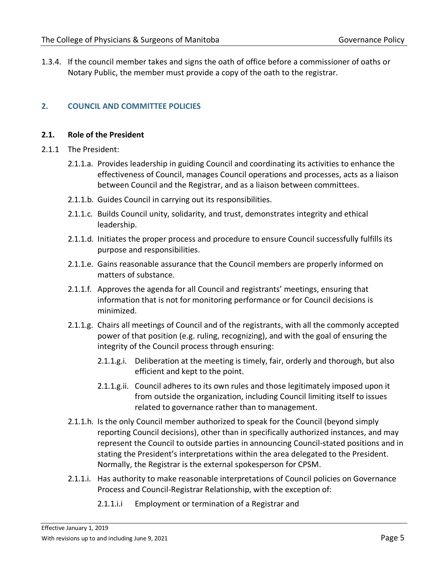1.3.4. If the council member takes and signs the oath of office before a commissioner of oaths or Notary Public, the member must provide a copy of the oath to the registrar.

# <span id="page-4-0"></span>**2. COUNCIL AND COMMITTEE POLICIES**

#### <span id="page-4-1"></span>**2.1. Role of the President**

- 2.1.1 The President:
	- 2.1.1.a. Provides leadership in guiding Council and coordinating its activities to enhance the effectiveness of Council, manages Council operations and processes, acts as a liaison between Council and the Registrar, and as a liaison between committees.
	- 2.1.1.b. Guides Council in carrying out its responsibilities.
	- 2.1.1.c. Builds Council unity, solidarity, and trust, demonstrates integrity and ethical leadership.
	- 2.1.1.d. Initiates the proper process and procedure to ensure Council successfully fulfills its purpose and responsibilities.
	- 2.1.1.e. Gains reasonable assurance that the Council members are properly informed on matters of substance.
	- 2.1.1.f. Approves the agenda for all Council and registrants' meetings, ensuring that information that is not for monitoring performance or for Council decisions is minimized.
	- 2.1.1.g. Chairs all meetings of Council and of the registrants, with all the commonly accepted power of that position (e.g. ruling, recognizing), and with the goal of ensuring the integrity of the Council process through ensuring:
		- 2.1.1.g.i. Deliberation at the meeting is timely, fair, orderly and thorough, but also efficient and kept to the point.
		- 2.1.1.g.ii. Council adheres to its own rules and those legitimately imposed upon it from outside the organization, including Council limiting itself to issues related to governance rather than to management.
	- 2.1.1.h. Is the only Council member authorized to speak for the Council (beyond simply reporting Council decisions), other than in specifically authorized instances, and may represent the Council to outside parties in announcing Council-stated positions and in stating the President's interpretations within the area delegated to the President. Normally, the Registrar is the external spokesperson for CPSM.
	- 2.1.1.i. Has authority to make reasonable interpretations of Council policies on Governance Process and Council-Registrar Relationship, with the exception of:
		- 2.1.1.i.i Employment or termination of a Registrar and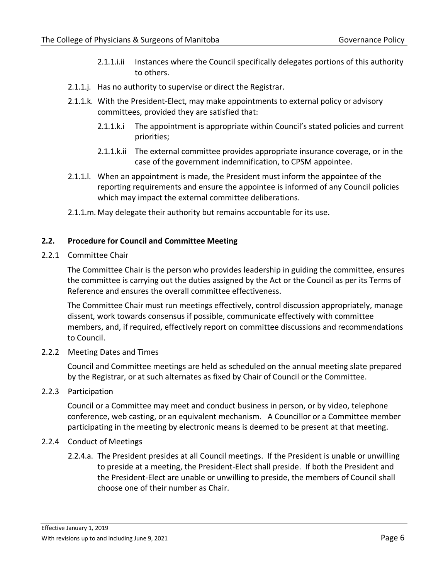- 2.1.1.i.ii Instances where the Council specifically delegates portions of this authority to others.
- 2.1.1.j. Has no authority to supervise or direct the Registrar.
- 2.1.1.k. With the President-Elect, may make appointments to external policy or advisory committees, provided they are satisfied that:
	- 2.1.1.k.i The appointment is appropriate within Council's stated policies and current priorities;
	- 2.1.1.k.ii The external committee provides appropriate insurance coverage, or in the case of the government indemnification, to CPSM appointee.
- 2.1.1.l. When an appointment is made, the President must inform the appointee of the reporting requirements and ensure the appointee is informed of any Council policies which may impact the external committee deliberations.
- 2.1.1.m. May delegate their authority but remains accountable for its use.

# <span id="page-5-0"></span>**2.2. Procedure for Council and Committee Meeting**

2.2.1 Committee Chair

The Committee Chair is the person who provides leadership in guiding the committee, ensures the committee is carrying out the duties assigned by the Act or the Council as per its Terms of Reference and ensures the overall committee effectiveness.

The Committee Chair must run meetings effectively, control discussion appropriately, manage dissent, work towards consensus if possible, communicate effectively with committee members, and, if required, effectively report on committee discussions and recommendations to Council.

2.2.2 Meeting Dates and Times

Council and Committee meetings are held as scheduled on the annual meeting slate prepared by the Registrar, or at such alternates as fixed by Chair of Council or the Committee.

#### 2.2.3 Participation

Council or a Committee may meet and conduct business in person, or by video, telephone conference, web casting, or an equivalent mechanism. A Councillor or a Committee member participating in the meeting by electronic means is deemed to be present at that meeting.

#### 2.2.4 Conduct of Meetings

2.2.4.a. The President presides at all Council meetings. If the President is unable or unwilling to preside at a meeting, the President-Elect shall preside. If both the President and the President-Elect are unable or unwilling to preside, the members of Council shall choose one of their number as Chair.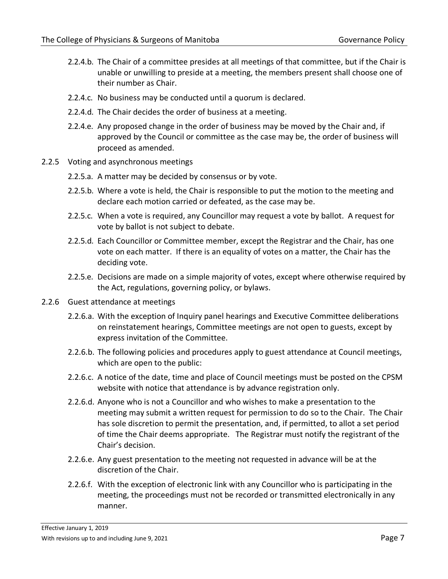- 2.2.4.b. The Chair of a committee presides at all meetings of that committee, but if the Chair is unable or unwilling to preside at a meeting, the members present shall choose one of their number as Chair.
- 2.2.4.c. No business may be conducted until a quorum is declared.
- 2.2.4.d. The Chair decides the order of business at a meeting.
- 2.2.4.e. Any proposed change in the order of business may be moved by the Chair and, if approved by the Council or committee as the case may be, the order of business will proceed as amended.
- 2.2.5 Voting and asynchronous meetings
	- 2.2.5.a. A matter may be decided by consensus or by vote.
	- 2.2.5.b. Where a vote is held, the Chair is responsible to put the motion to the meeting and declare each motion carried or defeated, as the case may be.
	- 2.2.5.c. When a vote is required, any Councillor may request a vote by ballot. A request for vote by ballot is not subject to debate.
	- 2.2.5.d. Each Councillor or Committee member, except the Registrar and the Chair, has one vote on each matter. If there is an equality of votes on a matter, the Chair has the deciding vote.
	- 2.2.5.e. Decisions are made on a simple majority of votes, except where otherwise required by the Act, regulations, governing policy, or bylaws.
- 2.2.6 Guest attendance at meetings
	- 2.2.6.a. With the exception of Inquiry panel hearings and Executive Committee deliberations on reinstatement hearings, Committee meetings are not open to guests, except by express invitation of the Committee.
	- 2.2.6.b. The following policies and procedures apply to guest attendance at Council meetings, which are open to the public:
	- 2.2.6.c. A notice of the date, time and place of Council meetings must be posted on the CPSM website with notice that attendance is by advance registration only.
	- 2.2.6.d. Anyone who is not a Councillor and who wishes to make a presentation to the meeting may submit a written request for permission to do so to the Chair. The Chair has sole discretion to permit the presentation, and, if permitted, to allot a set period of time the Chair deems appropriate. The Registrar must notify the registrant of the Chair's decision.
	- 2.2.6.e. Any guest presentation to the meeting not requested in advance will be at the discretion of the Chair.
	- 2.2.6.f. With the exception of electronic link with any Councillor who is participating in the meeting, the proceedings must not be recorded or transmitted electronically in any manner.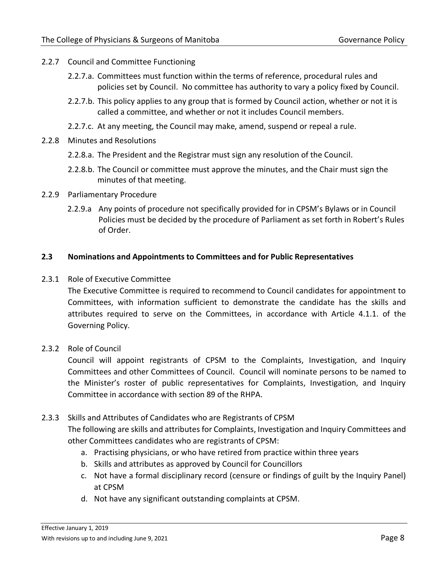- 2.2.7 Council and Committee Functioning
	- 2.2.7.a. Committees must function within the terms of reference, procedural rules and policies set by Council. No committee has authority to vary a policy fixed by Council.
	- 2.2.7.b. This policy applies to any group that is formed by Council action, whether or not it is called a committee, and whether or not it includes Council members.
	- 2.2.7.c. At any meeting, the Council may make, amend, suspend or repeal a rule.
- 2.2.8 Minutes and Resolutions
	- 2.2.8.a. The President and the Registrar must sign any resolution of the Council.
	- 2.2.8.b. The Council or committee must approve the minutes, and the Chair must sign the minutes of that meeting.
- 2.2.9 Parliamentary Procedure
	- 2.2.9.a Any points of procedure not specifically provided for in CPSM's Bylaws or in Council Policies must be decided by the procedure of Parliament as set forth in Robert's Rules of Order.

# <span id="page-7-0"></span>**2.3 Nominations and Appointments to Committees and for Public Representatives**

2.3.1 Role of Executive Committee

The Executive Committee is required to recommend to Council candidates for appointment to Committees, with information sufficient to demonstrate the candidate has the skills and attributes required to serve on the Committees, in accordance with Article 4.1.1. of the Governing Policy.

# 2.3.2 Role of Council

Council will appoint registrants of CPSM to the Complaints, Investigation, and Inquiry Committees and other Committees of Council. Council will nominate persons to be named to the Minister's roster of public representatives for Complaints, Investigation, and Inquiry Committee in accordance with section 89 of the RHPA.

# 2.3.3 Skills and Attributes of Candidates who are Registrants of CPSM

The following are skills and attributes for Complaints, Investigation and Inquiry Committees and other Committees candidates who are registrants of CPSM:

- a. Practising physicians, or who have retired from practice within three years
- b. Skills and attributes as approved by Council for Councillors
- c. Not have a formal disciplinary record (censure or findings of guilt by the Inquiry Panel) at CPSM
- d. Not have any significant outstanding complaints at CPSM.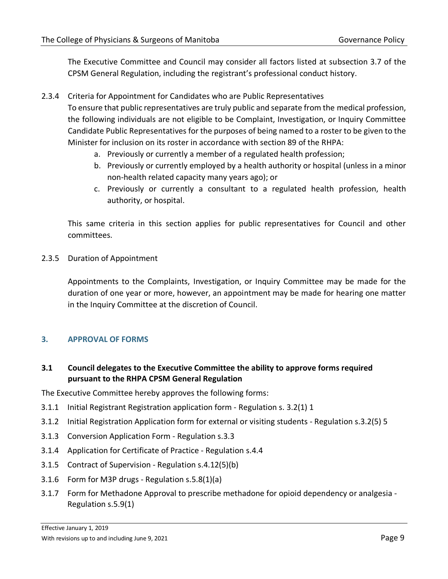The Executive Committee and Council may consider all factors listed at subsection 3.7 of the CPSM General Regulation, including the registrant's professional conduct history.

2.3.4 Criteria for Appointment for Candidates who are Public Representatives

To ensure that public representatives are truly public and separate from the medical profession, the following individuals are not eligible to be Complaint, Investigation, or Inquiry Committee Candidate Public Representatives for the purposes of being named to a roster to be given to the Minister for inclusion on its roster in accordance with section 89 of the RHPA:

- a. Previously or currently a member of a regulated health profession;
- b. Previously or currently employed by a health authority or hospital (unless in a minor non-health related capacity many years ago); or
- c. Previously or currently a consultant to a regulated health profession, health authority, or hospital.

This same criteria in this section applies for public representatives for Council and other committees.

2.3.5 Duration of Appointment

Appointments to the Complaints, Investigation, or Inquiry Committee may be made for the duration of one year or more, however, an appointment may be made for hearing one matter in the Inquiry Committee at the discretion of Council.

# <span id="page-8-0"></span>**3. APPROVAL OF FORMS**

# <span id="page-8-1"></span>**3.1 Council delegates to the Executive Committee the ability to approve forms required pursuant to the RHPA CPSM General Regulation**

The Executive Committee hereby approves the following forms:

- 3.1.1 Initial Registrant Registration application form Regulation s. 3.2(1) 1
- 3.1.2 Initial Registration Application form for external or visiting students Regulation s.3.2(5) 5
- 3.1.3 Conversion Application Form Regulation s.3.3
- 3.1.4 Application for Certificate of Practice Regulation s.4.4
- 3.1.5 Contract of Supervision Regulation s.4.12(5)(b)
- 3.1.6 Form for M3P drugs Regulation s.5.8(1)(a)
- 3.1.7 Form for Methadone Approval to prescribe methadone for opioid dependency or analgesia Regulation s.5.9(1)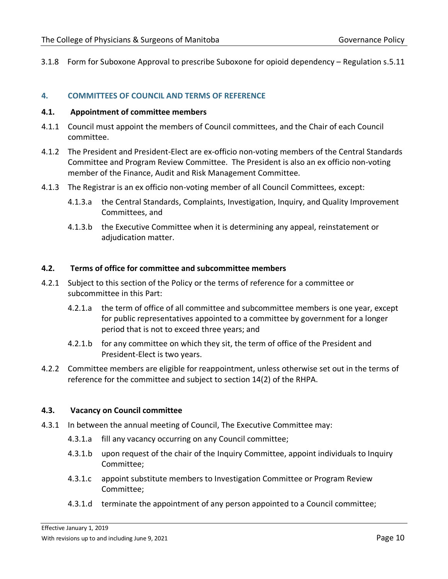3.1.8 Form for Suboxone Approval to prescribe Suboxone for opioid dependency – Regulation s.5.11

#### <span id="page-9-0"></span>**4. COMMITTEES OF COUNCIL AND TERMS OF REFERENCE**

#### <span id="page-9-1"></span>**4.1. Appointment of committee members**

- 4.1.1 Council must appoint the members of Council committees, and the Chair of each Council committee.
- 4.1.2 The President and President-Elect are ex-officio non-voting members of the Central Standards Committee and Program Review Committee. The President is also an ex officio non-voting member of the Finance, Audit and Risk Management Committee.
- 4.1.3 The Registrar is an ex officio non-voting member of all Council Committees, except:
	- 4.1.3.a the Central Standards, Complaints, Investigation, Inquiry, and Quality Improvement Committees, and
	- 4.1.3.b the Executive Committee when it is determining any appeal, reinstatement or adjudication matter.

#### <span id="page-9-2"></span>**4.2. Terms of office for committee and subcommittee members**

- 4.2.1 Subject to this section of the Policy or the terms of reference for a committee or subcommittee in this Part:
	- 4.2.1.a the term of office of all committee and subcommittee members is one year, except for public representatives appointed to a committee by government for a longer period that is not to exceed three years; and
	- 4.2.1.b for any committee on which they sit, the term of office of the President and President-Elect is two years.
- 4.2.2 Committee members are eligible for reappointment, unless otherwise set out in the terms of reference for the committee and subject to section 14(2) of the RHPA.

#### <span id="page-9-3"></span>**4.3. Vacancy on Council committee**

- 4.3.1 In between the annual meeting of Council, The Executive Committee may:
	- 4.3.1.a fill any vacancy occurring on any Council committee;
	- 4.3.1.b upon request of the chair of the Inquiry Committee, appoint individuals to Inquiry Committee;
	- 4.3.1.c appoint substitute members to Investigation Committee or Program Review Committee;
	- 4.3.1.d terminate the appointment of any person appointed to a Council committee;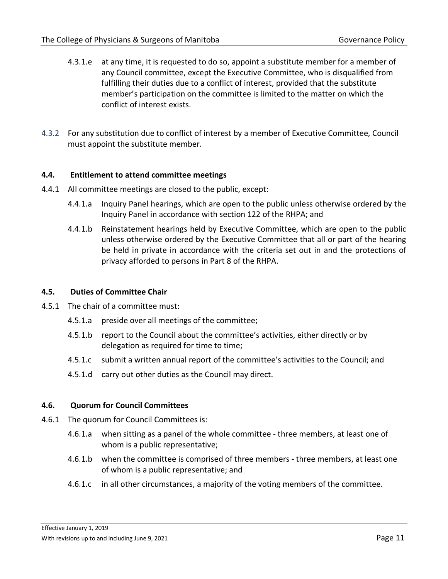- 4.3.1.e at any time, it is requested to do so, appoint a substitute member for a member of any Council committee, except the Executive Committee, who is disqualified from fulfilling their duties due to a conflict of interest, provided that the substitute member's participation on the committee is limited to the matter on which the conflict of interest exists.
- 4.3.2 For any substitution due to conflict of interest by a member of Executive Committee, Council must appoint the substitute member.

#### <span id="page-10-0"></span>**4.4. Entitlement to attend committee meetings**

- 4.4.1 All committee meetings are closed to the public, except:
	- 4.4.1.a Inquiry Panel hearings, which are open to the public unless otherwise ordered by the Inquiry Panel in accordance with section 122 of the RHPA; and
	- 4.4.1.b Reinstatement hearings held by Executive Committee, which are open to the public unless otherwise ordered by the Executive Committee that all or part of the hearing be held in private in accordance with the criteria set out in and the protections of privacy afforded to persons in Part 8 of the RHPA.

#### <span id="page-10-1"></span>**4.5. Duties of Committee Chair**

- 4.5.1 The chair of a committee must:
	- 4.5.1.a preside over all meetings of the committee;
	- 4.5.1.b report to the Council about the committee's activities, either directly or by delegation as required for time to time;
	- 4.5.1.c submit a written annual report of the committee's activities to the Council; and
	- 4.5.1.d carry out other duties as the Council may direct.

#### <span id="page-10-2"></span>**4.6. Quorum for Council Committees**

- 4.6.1 The quorum for Council Committees is:
	- 4.6.1.a when sitting as a panel of the whole committee three members, at least one of whom is a public representative;
	- 4.6.1.b when the committee is comprised of three members three members, at least one of whom is a public representative; and
	- 4.6.1.c in all other circumstances, a majority of the voting members of the committee.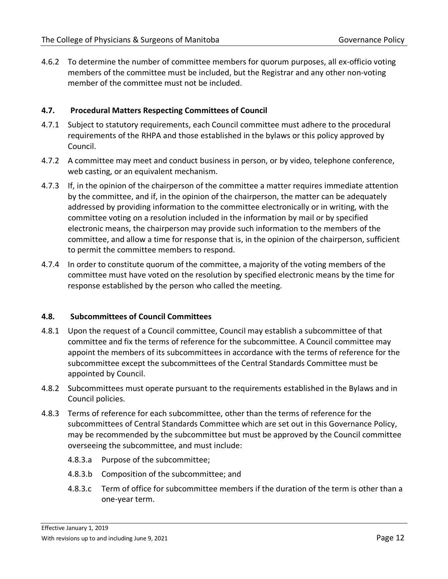4.6.2 To determine the number of committee members for quorum purposes, all ex-officio voting members of the committee must be included, but the Registrar and any other non-voting member of the committee must not be included.

#### <span id="page-11-0"></span>**4.7. Procedural Matters Respecting Committees of Council**

- 4.7.1 Subject to statutory requirements, each Council committee must adhere to the procedural requirements of the RHPA and those established in the bylaws or this policy approved by Council.
- 4.7.2 A committee may meet and conduct business in person, or by video, telephone conference, web casting, or an equivalent mechanism.
- 4.7.3 If, in the opinion of the chairperson of the committee a matter requires immediate attention by the committee, and if, in the opinion of the chairperson, the matter can be adequately addressed by providing information to the committee electronically or in writing, with the committee voting on a resolution included in the information by mail or by specified electronic means, the chairperson may provide such information to the members of the committee, and allow a time for response that is, in the opinion of the chairperson, sufficient to permit the committee members to respond.
- 4.7.4 In order to constitute quorum of the committee, a majority of the voting members of the committee must have voted on the resolution by specified electronic means by the time for response established by the person who called the meeting.

#### <span id="page-11-1"></span>**4.8. Subcommittees of Council Committees**

- 4.8.1 Upon the request of a Council committee, Council may establish a subcommittee of that committee and fix the terms of reference for the subcommittee. A Council committee may appoint the members of its subcommittees in accordance with the terms of reference for the subcommittee except the subcommittees of the Central Standards Committee must be appointed by Council.
- 4.8.2 Subcommittees must operate pursuant to the requirements established in the Bylaws and in Council policies.
- 4.8.3 Terms of reference for each subcommittee, other than the terms of reference for the subcommittees of Central Standards Committee which are set out in this Governance Policy, may be recommended by the subcommittee but must be approved by the Council committee overseeing the subcommittee, and must include:
	- 4.8.3.a Purpose of the subcommittee;
	- 4.8.3.b Composition of the subcommittee; and
	- 4.8.3.c Term of office for subcommittee members if the duration of the term is other than a one-year term.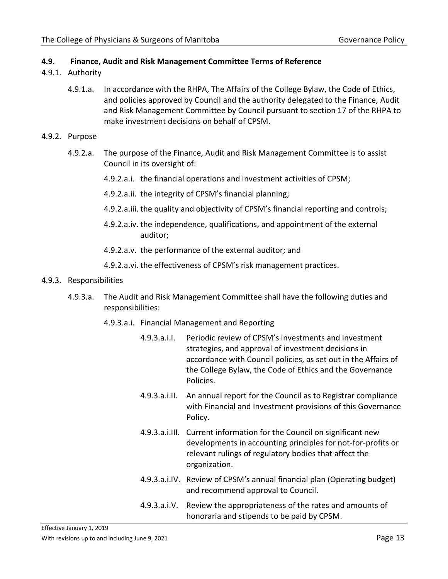#### **4.9. Finance, Audit and Risk Management Committee Terms of Reference**

- 4.9.1. Authority
	- 4.9.1.a. In accordance with the RHPA, The Affairs of the College Bylaw, the Code of Ethics, and policies approved by Council and the authority delegated to the Finance, Audit and Risk Management Committee by Council pursuant to section 17 of the RHPA to make investment decisions on behalf of CPSM.
- 4.9.2. Purpose
	- 4.9.2.a. The purpose of the Finance, Audit and Risk Management Committee is to assist Council in its oversight of:
		- 4.9.2.a.i. the financial operations and investment activities of CPSM;
		- 4.9.2.a.ii. the integrity of CPSM's financial planning;
		- 4.9.2.a.iii. the quality and objectivity of CPSM's financial reporting and controls;
		- 4.9.2.a.iv. the independence, qualifications, and appointment of the external auditor;
		- 4.9.2.a.v. the performance of the external auditor; and
		- 4.9.2.a.vi. the effectiveness of CPSM's risk management practices.

#### 4.9.3. Responsibilities

- 4.9.3.a. The Audit and Risk Management Committee shall have the following duties and responsibilities:
	- 4.9.3.a.i. Financial Management and Reporting
		- 4.9.3.a.i.I. Periodic review of CPSM's investments and investment strategies, and approval of investment decisions in accordance with Council policies, as set out in the Affairs of the College Bylaw, the Code of Ethics and the Governance Policies.
		- 4.9.3.a.i.II. An annual report for the Council as to Registrar compliance with Financial and Investment provisions of this Governance Policy.
		- 4.9.3.a.i.III. Current information for the Council on significant new developments in accounting principles for not-for-profits or relevant rulings of regulatory bodies that affect the organization.
		- 4.9.3.a.i.IV. Review of CPSM's annual financial plan (Operating budget) and recommend approval to Council.
		- 4.9.3.a.i.V. Review the appropriateness of the rates and amounts of honoraria and stipends to be paid by CPSM.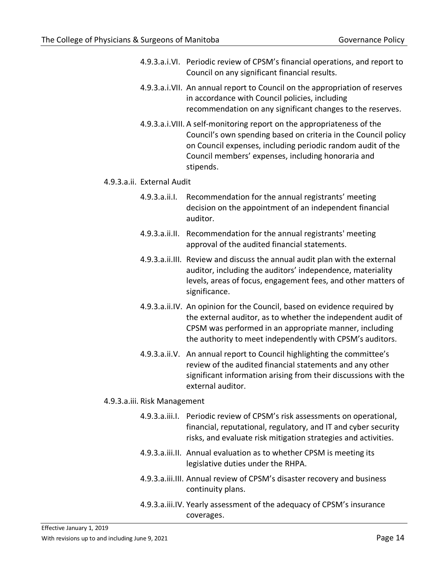- 4.9.3.a.i.VI. Periodic review of CPSM's financial operations, and report to Council on any significant financial results.
- 4.9.3.a.i.VII. An annual report to Council on the appropriation of reserves in accordance with Council policies, including recommendation on any significant changes to the reserves.
- 4.9.3.a.i.VIII. A self-monitoring report on the appropriateness of the Council's own spending based on criteria in the Council policy on Council expenses, including periodic random audit of the Council members' expenses, including honoraria and stipends.

#### 4.9.3.a.ii. External Audit

- 4.9.3.a.ii.I. Recommendation for the annual registrants' meeting decision on the appointment of an independent financial auditor.
- 4.9.3.a.ii.II. Recommendation for the annual registrants' meeting approval of the audited financial statements.
- 4.9.3.a.ii.III. Review and discuss the annual audit plan with the external auditor, including the auditors' independence, materiality levels, areas of focus, engagement fees, and other matters of significance.
- 4.9.3.a.ii.IV. An opinion for the Council, based on evidence required by the external auditor, as to whether the independent audit of CPSM was performed in an appropriate manner, including the authority to meet independently with CPSM's auditors.
- 4.9.3.a.ii.V. An annual report to Council highlighting the committee's review of the audited financial statements and any other significant information arising from their discussions with the external auditor.

#### 4.9.3.a.iii. Risk Management

- 4.9.3.a.iii.I. Periodic review of CPSM's risk assessments on operational, financial, reputational, regulatory, and IT and cyber security risks, and evaluate risk mitigation strategies and activities.
- 4.9.3.a.iii.II. Annual evaluation as to whether CPSM is meeting its legislative duties under the RHPA.
- 4.9.3.a.iii.III. Annual review of CPSM's disaster recovery and business continuity plans.
- 4.9.3.a.iii.IV. Yearly assessment of the adequacy of CPSM's insurance coverages.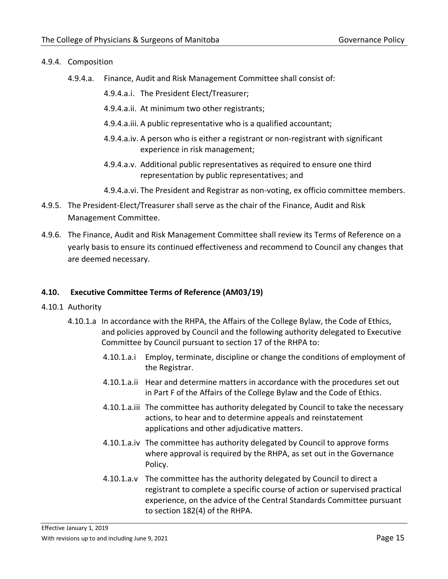# 4.9.4. Composition

- 4.9.4.a. Finance, Audit and Risk Management Committee shall consist of:
	- 4.9.4.a.i. The President Elect/Treasurer;
	- 4.9.4.a.ii. At minimum two other registrants;
	- 4.9.4.a.iii. A public representative who is a qualified accountant;
	- 4.9.4.a.iv. A person who is either a registrant or non-registrant with significant experience in risk management;
	- 4.9.4.a.v. Additional public representatives as required to ensure one third representation by public representatives; and
	- 4.9.4.a.vi. The President and Registrar as non-voting, ex officio committee members.
- 4.9.5. The President-Elect/Treasurer shall serve as the chair of the Finance, Audit and Risk Management Committee.
- 4.9.6. The Finance, Audit and Risk Management Committee shall review its Terms of Reference on a yearly basis to ensure its continued effectiveness and recommend to Council any changes that are deemed necessary.

# <span id="page-14-0"></span>**4.10. Executive Committee Terms of Reference (AM03/19)**

- 4.10.1 Authority
	- 4.10.1.a In accordance with the RHPA, the Affairs of the College Bylaw, the Code of Ethics, and policies approved by Council and the following authority delegated to Executive Committee by Council pursuant to section 17 of the RHPA to:
		- 4.10.1.a.i Employ, terminate, discipline or change the conditions of employment of the Registrar.
		- 4.10.1.a.ii Hear and determine matters in accordance with the procedures set out in Part F of the Affairs of the College Bylaw and the Code of Ethics.
		- 4.10.1.a.iii The committee has authority delegated by Council to take the necessary actions, to hear and to determine appeals and reinstatement applications and other adjudicative matters.
		- 4.10.1.a.iv The committee has authority delegated by Council to approve forms where approval is required by the RHPA, as set out in the Governance Policy.
		- 4.10.1.a.v The committee has the authority delegated by Council to direct a registrant to complete a specific course of action or supervised practical experience, on the advice of the Central Standards Committee pursuant to section 182(4) of the RHPA.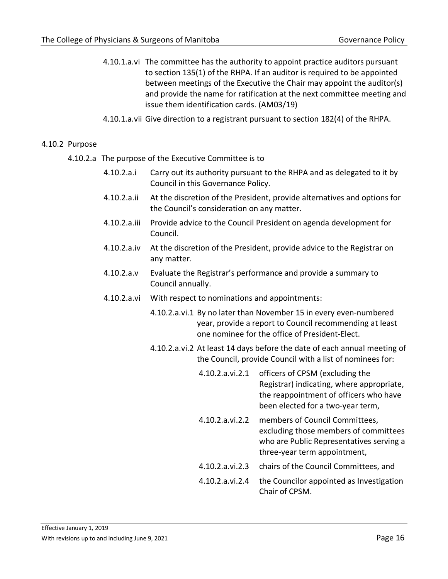- 4.10.1.a.vi The committee has the authority to appoint practice auditors pursuant to section 135(1) of the RHPA. If an auditor is required to be appointed between meetings of the Executive the Chair may appoint the auditor(s) and provide the name for ratification at the next committee meeting and issue them identification cards. (AM03/19)
- 4.10.1.a.vii Give direction to a registrant pursuant to section 182(4) of the RHPA.

#### 4.10.2 Purpose

- 4.10.2.a The purpose of the Executive Committee is to
	- 4.10.2.a.i Carry out its authority pursuant to the RHPA and as delegated to it by Council in this Governance Policy.
	- 4.10.2.a.ii At the discretion of the President, provide alternatives and options for the Council's consideration on any matter.
	- 4.10.2.a.iii Provide advice to the Council President on agenda development for Council.
	- 4.10.2.a.iv At the discretion of the President, provide advice to the Registrar on any matter.
	- 4.10.2.a.v Evaluate the Registrar's performance and provide a summary to Council annually.
	- 4.10.2.a.vi With respect to nominations and appointments:
		- 4.10.2.a.vi.1 By no later than November 15 in every even-numbered year, provide a report to Council recommending at least one nominee for the office of President-Elect.
		- 4.10.2.a.vi.2 At least 14 days before the date of each annual meeting of the Council, provide Council with a list of nominees for:
			- 4.10.2.a.vi.2.1 officers of CPSM (excluding the Registrar) indicating, where appropriate, the reappointment of officers who have been elected for a two-year term,
			- 4.10.2.a.vi.2.2 members of Council Committees, excluding those members of committees who are Public Representatives serving a three-year term appointment,
			- 4.10.2.a.vi.2.3 chairs of the Council Committees, and
			- 4.10.2.a.vi.2.4 the Councilor appointed as Investigation Chair of CPSM.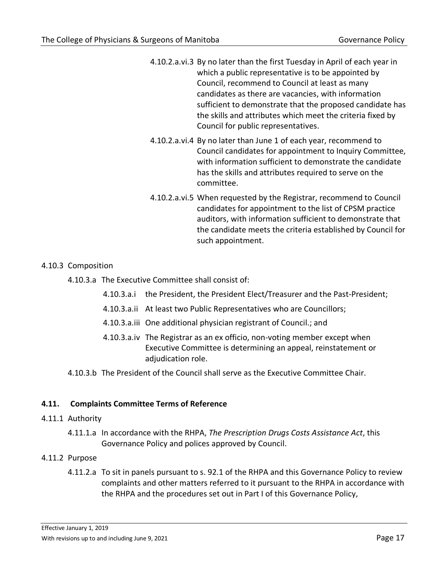4.10.2.a.vi.3 By no later than the first Tuesday in April of each year in which a public representative is to be appointed by Council, recommend to Council at least as many candidates as there are vacancies, with information sufficient to demonstrate that the proposed candidate has the skills and attributes which meet the criteria fixed by Council for public representatives.

- 4.10.2.a.vi.4 By no later than June 1 of each year, recommend to Council candidates for appointment to Inquiry Committee, with information sufficient to demonstrate the candidate has the skills and attributes required to serve on the committee.
- 4.10.2.a.vi.5 When requested by the Registrar, recommend to Council candidates for appointment to the list of CPSM practice auditors, with information sufficient to demonstrate that the candidate meets the criteria established by Council for such appointment.

# 4.10.3 Composition

- 4.10.3.a The Executive Committee shall consist of:
	- 4.10.3.a.i the President, the President Elect/Treasurer and the Past-President;
	- 4.10.3.a.ii At least two Public Representatives who are Councillors;
	- 4.10.3.a.iii One additional physician registrant of Council.; and
	- 4.10.3.a.iv The Registrar as an ex officio, non-voting member except when Executive Committee is determining an appeal, reinstatement or adiudication role.
- 4.10.3.b The President of the Council shall serve as the Executive Committee Chair.

#### <span id="page-16-0"></span>**4.11. Complaints Committee Terms of Reference**

#### 4.11.1 Authority

4.11.1.a In accordance with the RHPA, *The Prescription Drugs Costs Assistance Act*, this Governance Policy and polices approved by Council.

#### 4.11.2 Purpose

4.11.2.a To sit in panels pursuant to s. 92.1 of the RHPA and this Governance Policy to review complaints and other matters referred to it pursuant to the RHPA in accordance with the RHPA and the procedures set out in Part I of this Governance Policy,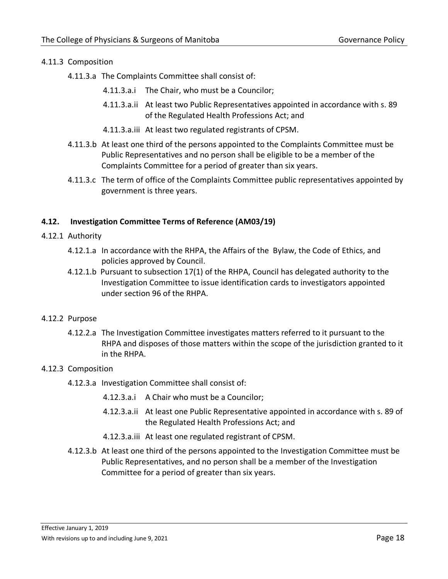# 4.11.3 Composition

- 4.11.3.a The Complaints Committee shall consist of:
	- 4.11.3.a.i The Chair, who must be a Councilor;
	- 4.11.3.a.ii At least two Public Representatives appointed in accordance with s. 89 of the Regulated Health Professions Act; and
	- 4.11.3.a.iii At least two regulated registrants of CPSM.
- 4.11.3.b At least one third of the persons appointed to the Complaints Committee must be Public Representatives and no person shall be eligible to be a member of the Complaints Committee for a period of greater than six years.
- 4.11.3.c The term of office of the Complaints Committee public representatives appointed by government is three years.

#### <span id="page-17-0"></span>**4.12. Investigation Committee Terms of Reference (AM03/19)**

- 4.12.1 Authority
	- 4.12.1.a In accordance with the RHPA, the Affairs of the Bylaw, the Code of Ethics, and policies approved by Council.
	- 4.12.1.b Pursuant to subsection 17(1) of the RHPA, Council has delegated authority to the Investigation Committee to issue identification cards to investigators appointed under section 96 of the RHPA.

#### 4.12.2 Purpose

4.12.2.a The Investigation Committee investigates matters referred to it pursuant to the RHPA and disposes of those matters within the scope of the jurisdiction granted to it in the RHPA.

#### 4.12.3 Composition

- 4.12.3.a Investigation Committee shall consist of:
	- 4.12.3.a.i A Chair who must be a Councilor;
	- 4.12.3.a.ii At least one Public Representative appointed in accordance with s. 89 of the Regulated Health Professions Act; and
	- 4.12.3.a.iii At least one regulated registrant of CPSM.
- 4.12.3.b At least one third of the persons appointed to the Investigation Committee must be Public Representatives, and no person shall be a member of the Investigation Committee for a period of greater than six years.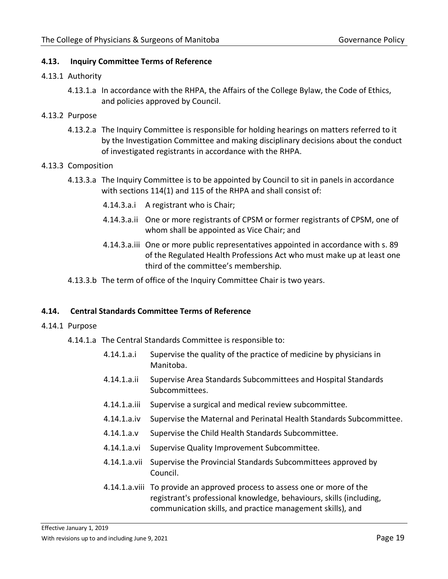#### <span id="page-18-0"></span>**4.13. Inquiry Committee Terms of Reference**

#### 4.13.1 Authority

- 4.13.1.a In accordance with the RHPA, the Affairs of the College Bylaw, the Code of Ethics, and policies approved by Council.
- 4.13.2 Purpose
	- 4.13.2.a The Inquiry Committee is responsible for holding hearings on matters referred to it by the Investigation Committee and making disciplinary decisions about the conduct of investigated registrants in accordance with the RHPA.

#### 4.13.3 Composition

- 4.13.3.a The Inquiry Committee is to be appointed by Council to sit in panels in accordance with sections 114(1) and 115 of the RHPA and shall consist of:
	- 4.14.3.a.i A registrant who is Chair;
	- 4.14.3.a.ii One or more registrants of CPSM or former registrants of CPSM, one of whom shall be appointed as Vice Chair; and
	- 4.14.3.a.iii One or more public representatives appointed in accordance with s. 89 of the Regulated Health Professions Act who must make up at least one third of the committee's membership.
- 4.13.3.b The term of office of the Inquiry Committee Chair is two years.

#### <span id="page-18-1"></span>**4.14. Central Standards Committee Terms of Reference**

- 4.14.1 Purpose
	- 4.14.1.a The Central Standards Committee is responsible to:
		- 4.14.1.a.i Supervise the quality of the practice of medicine by physicians in Manitoba.
		- 4.14.1.a.ii Supervise Area Standards Subcommittees and Hospital Standards Subcommittees.
		- 4.14.1.a.iii Supervise a surgical and medical review subcommittee.
		- 4.14.1.a.iv Supervise the Maternal and Perinatal Health Standards Subcommittee.
		- 4.14.1.a.v Supervise the Child Health Standards Subcommittee.
		- 4.14.1.a.vi Supervise Quality Improvement Subcommittee.
		- 4.14.1.a.vii Supervise the Provincial Standards Subcommittees approved by Council.
		- 4.14.1.a.viii To provide an approved process to assess one or more of the registrant's professional knowledge, behaviours, skills (including, communication skills, and practice management skills), and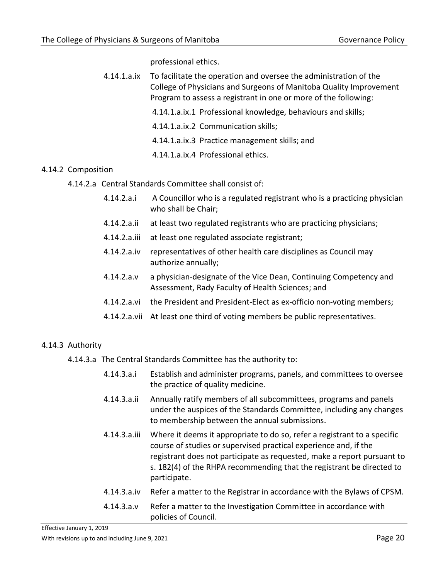professional ethics.

- 4.14.1.a.ix To facilitate the operation and oversee the administration of the College of Physicians and Surgeons of Manitoba Quality Improvement Program to assess a registrant in one or more of the following:
	- 4.14.1.a.ix.1 Professional knowledge, behaviours and skills;
	- 4.14.1.a.ix.2 Communication skills;
	- 4.14.1.a.ix.3 Practice management skills; and
	- 4.14.1.a.ix.4 Professional ethics.

#### 4.14.2 Composition

- 4.14.2.a Central Standards Committee shall consist of:
	- 4.14.2.a.i A Councillor who is a regulated registrant who is a practicing physician who shall be Chair;
	- 4.14.2.a.ii at least two regulated registrants who are practicing physicians;
	- 4.14.2.a.iii at least one regulated associate registrant;
	- 4.14.2.a.iv representatives of other health care disciplines as Council may authorize annually;
	- 4.14.2.a.v a physician-designate of the Vice Dean, Continuing Competency and Assessment, Rady Faculty of Health Sciences; and
	- 4.14.2.a.vi the President and President-Elect as ex-officio non-voting members;
	- 4.14.2.a.vii At least one third of voting members be public representatives.

#### 4.14.3 Authority

- 4.14.3.a The Central Standards Committee has the authority to:
	- 4.14.3.a.i Establish and administer programs, panels, and committees to oversee the practice of quality medicine.
	- 4.14.3.a.ii Annually ratify members of all subcommittees, programs and panels under the auspices of the Standards Committee, including any changes to membership between the annual submissions.
	- 4.14.3.a.iii Where it deems it appropriate to do so, refer a registrant to a specific course of studies or supervised practical experience and, if the registrant does not participate as requested, make a report pursuant to s. 182(4) of the RHPA recommending that the registrant be directed to participate.
	- 4.14.3.a.iv Refer a matter to the Registrar in accordance with the Bylaws of CPSM.
	- 4.14.3.a.v Refer a matter to the Investigation Committee in accordance with policies of Council.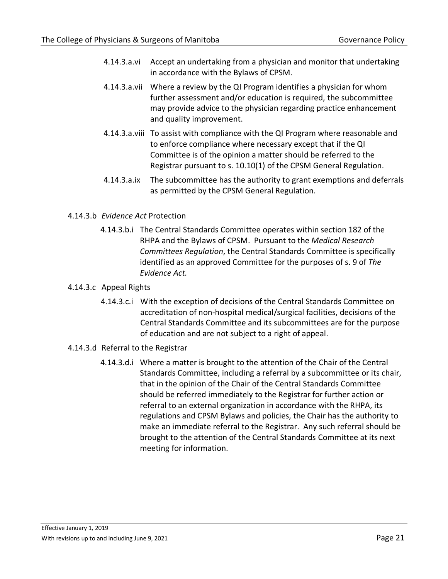- 4.14.3.a.vi Accept an undertaking from a physician and monitor that undertaking in accordance with the Bylaws of CPSM.
- 4.14.3.a.vii Where a review by the QI Program identifies a physician for whom further assessment and/or education is required, the subcommittee may provide advice to the physician regarding practice enhancement and quality improvement.
- 4.14.3.a.viii To assist with compliance with the QI Program where reasonable and to enforce compliance where necessary except that if the QI Committee is of the opinion a matter should be referred to the Registrar pursuant to s. 10.10(1) of the CPSM General Regulation.
- 4.14.3.a.ix The subcommittee has the authority to grant exemptions and deferrals as permitted by the CPSM General Regulation.
- 4.14.3.b *Evidence Act* Protection
	- 4.14.3.b.i The Central Standards Committee operates within section 182 of the RHPA and the Bylaws of CPSM. Pursuant to the *Medical Research Committees Regulation*, the Central Standards Committee is specifically identified as an approved Committee for the purposes of s. 9 of *The Evidence Act.*
- 4.14.3.c Appeal Rights
	- 4.14.3.c.i With the exception of decisions of the Central Standards Committee on accreditation of non-hospital medical/surgical facilities, decisions of the Central Standards Committee and its subcommittees are for the purpose of education and are not subject to a right of appeal.
- 4.14.3.d Referral to the Registrar
	- 4.14.3.d.i Where a matter is brought to the attention of the Chair of the Central Standards Committee, including a referral by a subcommittee or its chair, that in the opinion of the Chair of the Central Standards Committee should be referred immediately to the Registrar for further action or referral to an external organization in accordance with the RHPA, its regulations and CPSM Bylaws and policies, the Chair has the authority to make an immediate referral to the Registrar. Any such referral should be brought to the attention of the Central Standards Committee at its next meeting for information.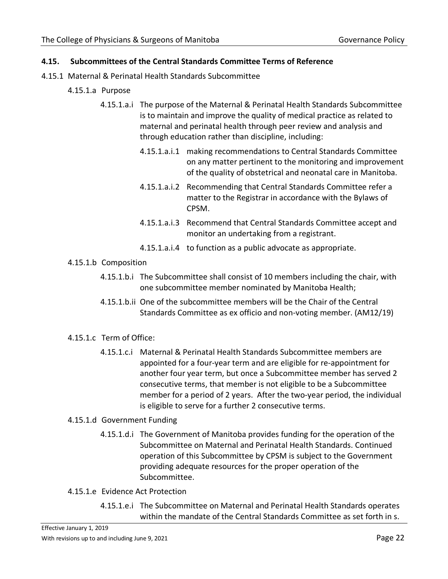#### <span id="page-21-0"></span>**4.15. Subcommittees of the Central Standards Committee Terms of Reference**

- 4.15.1 Maternal & Perinatal Health Standards Subcommittee
	- 4.15.1.a Purpose
		- 4.15.1.a.i The purpose of the Maternal & Perinatal Health Standards Subcommittee is to maintain and improve the quality of medical practice as related to maternal and perinatal health through peer review and analysis and through education rather than discipline, including:
			- 4.15.1.a.i.1 making recommendations to Central Standards Committee on any matter pertinent to the monitoring and improvement of the quality of obstetrical and neonatal care in Manitoba.
			- 4.15.1.a.i.2 Recommending that Central Standards Committee refer a matter to the Registrar in accordance with the Bylaws of CPSM.
			- 4.15.1.a.i.3 Recommend that Central Standards Committee accept and monitor an undertaking from a registrant.
			- 4.15.1.a.i.4 to function as a public advocate as appropriate.
	- 4.15.1.b Composition
		- 4.15.1.b.i The Subcommittee shall consist of 10 members including the chair, with one subcommittee member nominated by Manitoba Health;
		- 4.15.1.b.ii One of the subcommittee members will be the Chair of the Central Standards Committee as ex officio and non-voting member. (AM12/19)
	- 4.15.1.c Term of Office:
		- 4.15.1.c.i Maternal & Perinatal Health Standards Subcommittee members are appointed for a four-year term and are eligible for re-appointment for another four year term, but once a Subcommittee member has served 2 consecutive terms, that member is not eligible to be a Subcommittee member for a period of 2 years. After the two-year period, the individual is eligible to serve for a further 2 consecutive terms.

# 4.15.1.d Government Funding

- 4.15.1.d.i The Government of Manitoba provides funding for the operation of the Subcommittee on Maternal and Perinatal Health Standards. Continued operation of this Subcommittee by CPSM is subject to the Government providing adequate resources for the proper operation of the Subcommittee.
- 4.15.1.e Evidence Act Protection
	- 4.15.1.e.i The Subcommittee on Maternal and Perinatal Health Standards operates within the mandate of the Central Standards Committee as set forth in s.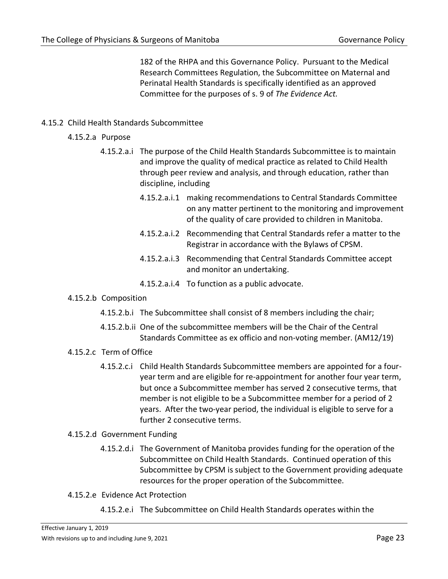182 of the RHPA and this Governance Policy. Pursuant to the Medical Research Committees Regulation, the Subcommittee on Maternal and Perinatal Health Standards is specifically identified as an approved Committee for the purposes of s. 9 of *The Evidence Act.*

# 4.15.2 Child Health Standards Subcommittee

- 4.15.2.a Purpose
	- 4.15.2.a.i The purpose of the Child Health Standards Subcommittee is to maintain and improve the quality of medical practice as related to Child Health through peer review and analysis, and through education, rather than discipline, including
		- 4.15.2.a.i.1 making recommendations to Central Standards Committee on any matter pertinent to the monitoring and improvement of the quality of care provided to children in Manitoba.
		- 4.15.2.a.i.2 Recommending that Central Standards refer a matter to the Registrar in accordance with the Bylaws of CPSM.
		- 4.15.2.a.i.3 Recommending that Central Standards Committee accept and monitor an undertaking.
		- 4.15.2.a.i.4 To function as a public advocate.

#### 4.15.2.b Composition

- 4.15.2.b.i The Subcommittee shall consist of 8 members including the chair;
- 4.15.2.b.ii One of the subcommittee members will be the Chair of the Central Standards Committee as ex officio and non-voting member. (AM12/19)
- 4.15.2.c Term of Office
	- 4.15.2.c.i Child Health Standards Subcommittee members are appointed for a fouryear term and are eligible for re-appointment for another four year term, but once a Subcommittee member has served 2 consecutive terms, that member is not eligible to be a Subcommittee member for a period of 2 years. After the two-year period, the individual is eligible to serve for a further 2 consecutive terms.

# 4.15.2.d Government Funding

- 4.15.2.d.i The Government of Manitoba provides funding for the operation of the Subcommittee on Child Health Standards. Continued operation of this Subcommittee by CPSM is subject to the Government providing adequate resources for the proper operation of the Subcommittee.
- 4.15.2.e Evidence Act Protection
	- 4.15.2.e.i The Subcommittee on Child Health Standards operates within the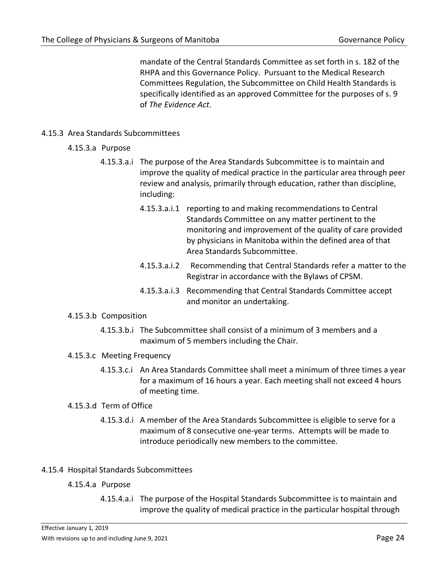mandate of the Central Standards Committee as set forth in s. 182 of the RHPA and this Governance Policy. Pursuant to the Medical Research Committees Regulation, the Subcommittee on Child Health Standards is specifically identified as an approved Committee for the purposes of s. 9 of *The Evidence Act*.

# 4.15.3 Area Standards Subcommittees

- 4.15.3.a Purpose
	- 4.15.3.a.i The purpose of the Area Standards Subcommittee is to maintain and improve the quality of medical practice in the particular area through peer review and analysis, primarily through education, rather than discipline, including:
		- 4.15.3.a.i.1 reporting to and making recommendations to Central Standards Committee on any matter pertinent to the monitoring and improvement of the quality of care provided by physicians in Manitoba within the defined area of that Area Standards Subcommittee.
		- 4.15.3.a.i.2 Recommending that Central Standards refer a matter to the Registrar in accordance with the Bylaws of CPSM.
		- 4.15.3.a.i.3 Recommending that Central Standards Committee accept and monitor an undertaking.

#### 4.15.3.b Composition

4.15.3.b.i The Subcommittee shall consist of a minimum of 3 members and a maximum of 5 members including the Chair.

#### 4.15.3.c Meeting Frequency

4.15.3.c.i An Area Standards Committee shall meet a minimum of three times a year for a maximum of 16 hours a year. Each meeting shall not exceed 4 hours of meeting time.

#### 4.15.3.d Term of Office

4.15.3.d.i A member of the Area Standards Subcommittee is eligible to serve for a maximum of 8 consecutive one-year terms. Attempts will be made to introduce periodically new members to the committee.

#### 4.15.4 Hospital Standards Subcommittees

# 4.15.4.a Purpose

4.15.4.a.i The purpose of the Hospital Standards Subcommittee is to maintain and improve the quality of medical practice in the particular hospital through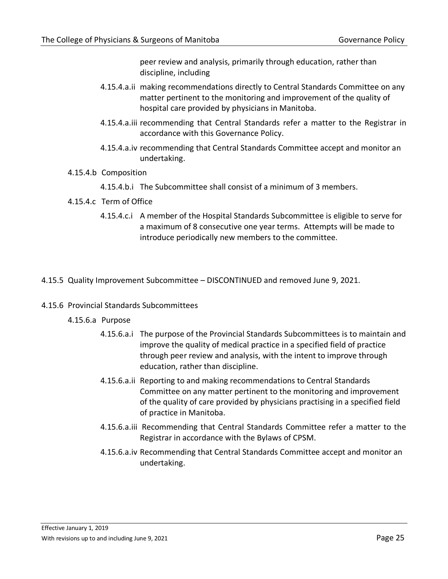peer review and analysis, primarily through education, rather than discipline, including

- 4.15.4.a.ii making recommendations directly to Central Standards Committee on any matter pertinent to the monitoring and improvement of the quality of hospital care provided by physicians in Manitoba.
- 4.15.4.a.iii recommending that Central Standards refer a matter to the Registrar in accordance with this Governance Policy.
- 4.15.4.a.iv recommending that Central Standards Committee accept and monitor an undertaking.

#### 4.15.4.b Composition

- 4.15.4.b.i The Subcommittee shall consist of a minimum of 3 members.
- 4.15.4.c Term of Office
	- 4.15.4.c.i A member of the Hospital Standards Subcommittee is eligible to serve for a maximum of 8 consecutive one year terms. Attempts will be made to introduce periodically new members to the committee.

#### 4.15.5 Quality Improvement Subcommittee – DISCONTINUED and removed June 9, 2021.

#### 4.15.6 Provincial Standards Subcommittees

- 4.15.6.a Purpose
	- 4.15.6.a.i The purpose of the Provincial Standards Subcommittees is to maintain and improve the quality of medical practice in a specified field of practice through peer review and analysis, with the intent to improve through education, rather than discipline.
	- 4.15.6.a.ii Reporting to and making recommendations to Central Standards Committee on any matter pertinent to the monitoring and improvement of the quality of care provided by physicians practising in a specified field of practice in Manitoba.
	- 4.15.6.a.iii Recommending that Central Standards Committee refer a matter to the Registrar in accordance with the Bylaws of CPSM.
	- 4.15.6.a.iv Recommending that Central Standards Committee accept and monitor an undertaking.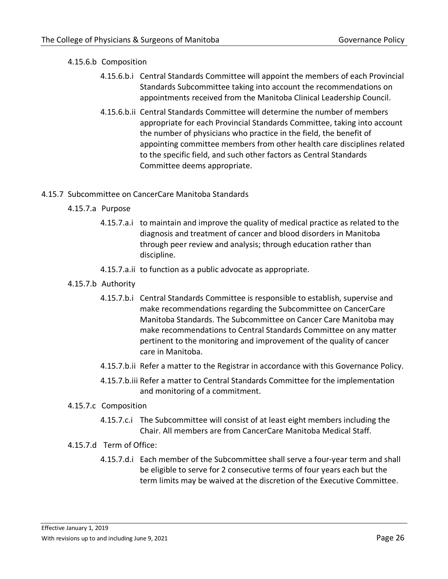# 4.15.6.b Composition

- 4.15.6.b.i Central Standards Committee will appoint the members of each Provincial Standards Subcommittee taking into account the recommendations on appointments received from the Manitoba Clinical Leadership Council.
- 4.15.6.b.ii Central Standards Committee will determine the number of members appropriate for each Provincial Standards Committee, taking into account the number of physicians who practice in the field, the benefit of appointing committee members from other health care disciplines related to the specific field, and such other factors as Central Standards Committee deems appropriate.

# 4.15.7 Subcommittee on CancerCare Manitoba Standards

- 4.15.7.a Purpose
	- 4.15.7.a.i to maintain and improve the quality of medical practice as related to the diagnosis and treatment of cancer and blood disorders in Manitoba through peer review and analysis; through education rather than discipline.
	- 4.15.7.a.ii to function as a public advocate as appropriate.
- 4.15.7.b Authority
	- 4.15.7.b.i Central Standards Committee is responsible to establish, supervise and make recommendations regarding the Subcommittee on CancerCare Manitoba Standards. The Subcommittee on Cancer Care Manitoba may make recommendations to Central Standards Committee on any matter pertinent to the monitoring and improvement of the quality of cancer care in Manitoba.
	- 4.15.7.b.ii Refer a matter to the Registrar in accordance with this Governance Policy.
	- 4.15.7.b.iii Refer a matter to Central Standards Committee for the implementation and monitoring of a commitment.
- 4.15.7.c Composition
	- 4.15.7.c.i The Subcommittee will consist of at least eight members including the Chair. All members are from CancerCare Manitoba Medical Staff.
- 4.15.7.d Term of Office:
	- 4.15.7.d.i Each member of the Subcommittee shall serve a four-year term and shall be eligible to serve for 2 consecutive terms of four years each but the term limits may be waived at the discretion of the Executive Committee.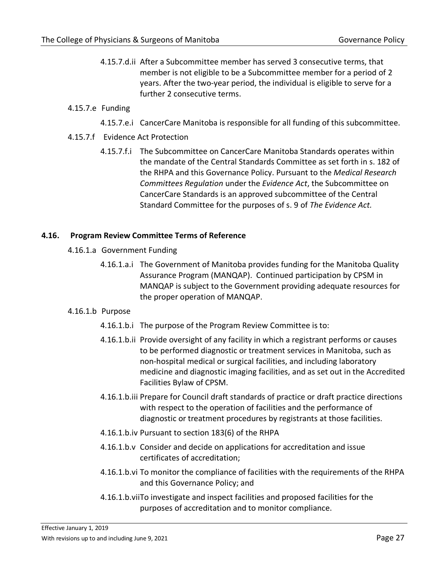4.15.7.d.ii After a Subcommittee member has served 3 consecutive terms, that member is not eligible to be a Subcommittee member for a period of 2 years. After the two-year period, the individual is eligible to serve for a further 2 consecutive terms.

# 4.15.7.e Funding

4.15.7.e.i CancerCare Manitoba is responsible for all funding of this subcommittee.

# 4.15.7.f Evidence Act Protection

4.15.7.f.i The Subcommittee on CancerCare Manitoba Standards operates within the mandate of the Central Standards Committee as set forth in s. 182 of the RHPA and this Governance Policy. Pursuant to the *Medical Research Committees Regulation* under the *Evidence Act*, the Subcommittee on CancerCare Standards is an approved subcommittee of the Central Standard Committee for the purposes of s. 9 of *The Evidence Act.*

# <span id="page-26-0"></span>**4.16. Program Review Committee Terms of Reference**

- 4.16.1.a Government Funding
	- 4.16.1.a.i The Government of Manitoba provides funding for the Manitoba Quality Assurance Program (MANQAP). Continued participation by CPSM in MANQAP is subject to the Government providing adequate resources for the proper operation of MANQAP.

#### 4.16.1.b Purpose

- 4.16.1.b.i The purpose of the Program Review Committee is to:
- 4.16.1.b.ii Provide oversight of any facility in which a registrant performs or causes to be performed diagnostic or treatment services in Manitoba, such as non-hospital medical or surgical facilities, and including laboratory medicine and diagnostic imaging facilities, and as set out in the Accredited Facilities Bylaw of CPSM.
- 4.16.1.b.iii Prepare for Council draft standards of practice or draft practice directions with respect to the operation of facilities and the performance of diagnostic or treatment procedures by registrants at those facilities.
- 4.16.1.b.iv Pursuant to section 183(6) of the RHPA
- 4.16.1.b.v Consider and decide on applications for accreditation and issue certificates of accreditation;
- 4.16.1.b.vi To monitor the compliance of facilities with the requirements of the RHPA and this Governance Policy; and
- 4.16.1.b.viiTo investigate and inspect facilities and proposed facilities for the purposes of accreditation and to monitor compliance.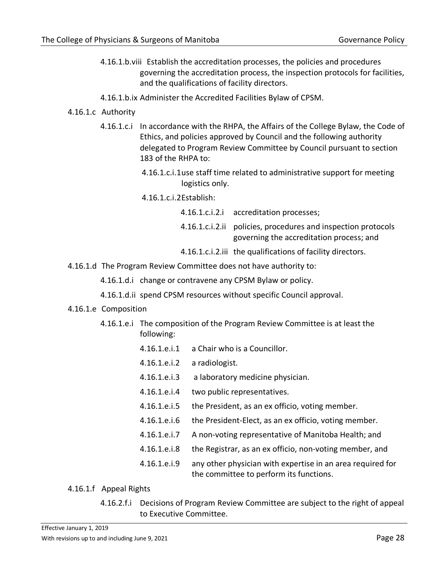- 4.16.1.b.viii Establish the accreditation processes, the policies and procedures governing the accreditation process, the inspection protocols for facilities, and the qualifications of facility directors.
- 4.16.1.b.ix Administer the Accredited Facilities Bylaw of CPSM.
- 4.16.1.c Authority
	- 4.16.1.c.i In accordance with the RHPA, the Affairs of the College Bylaw, the Code of Ethics, and policies approved by Council and the following authority delegated to Program Review Committee by Council pursuant to section 183 of the RHPA to:
		- 4.16.1.c.i.1use staff time related to administrative support for meeting logistics only.
		- 4.16.1.c.i.2Establish:

4.16.1.c.i.2.i accreditation processes;

- 4.16.1.c.i.2.ii policies, procedures and inspection protocols governing the accreditation process; and
- 4.16.1.c.i.2.iii the qualifications of facility directors.
- 4.16.1.d The Program Review Committee does not have authority to:
	- 4.16.1.d.i change or contravene any CPSM Bylaw or policy.
	- 4.16.1.d.ii spend CPSM resources without specific Council approval.
- 4.16.1.e Composition
	- 4.16.1.e.i The composition of the Program Review Committee is at least the following:
		- 4.16.1.e.i.1 a Chair who is a Councillor.
		- 4.16.1.e.i.2 a radiologist.
		- 4.16.1.e.i.3 a laboratory medicine physician.
		- 4.16.1.e.i.4 two public representatives.
		- 4.16.1.e.i.5 the President, as an ex officio, voting member.
		- 4.16.1.e.i.6 the President-Elect, as an ex officio, voting member.
		- 4.16.1.e.i.7 A non-voting representative of Manitoba Health; and
		- 4.16.1.e.i.8 the Registrar, as an ex officio, non-voting member, and
		- 4.16.1.e.i.9 any other physician with expertise in an area required for the committee to perform its functions.

# 4.16.1.f Appeal Rights

4.16.2.f.i Decisions of Program Review Committee are subject to the right of appeal to Executive Committee.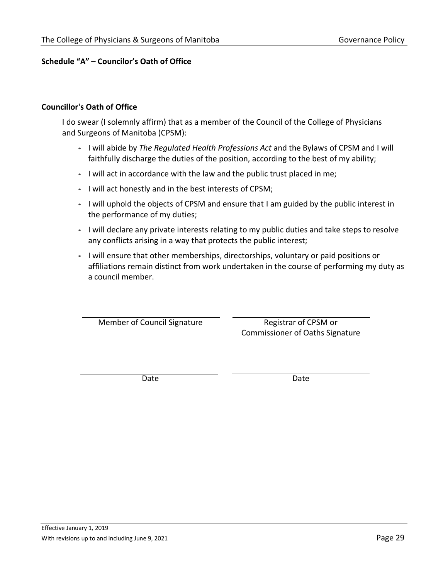# <span id="page-28-0"></span>**Schedule "A" – Councilor's Oath of Office**

#### **Councillor's Oath of Office**

I do swear (I solemnly affirm) that as a member of the Council of the College of Physicians and Surgeons of Manitoba (CPSM):

- I will abide by *The Regulated Health Professions Act* and the Bylaws of CPSM and I will faithfully discharge the duties of the position, according to the best of my ability;
- I will act in accordance with the law and the public trust placed in me;
- I will act honestly and in the best interests of CPSM;
- I will uphold the objects of CPSM and ensure that I am guided by the public interest in the performance of my duties;
- I will declare any private interests relating to my public duties and take steps to resolve any conflicts arising in a way that protects the public interest;
- I will ensure that other memberships, directorships, voluntary or paid positions or affiliations remain distinct from work undertaken in the course of performing my duty as a council member.

Member of Council Signature Registrar of CPSM or

Commissioner of Oaths Signature

Date **Date** Date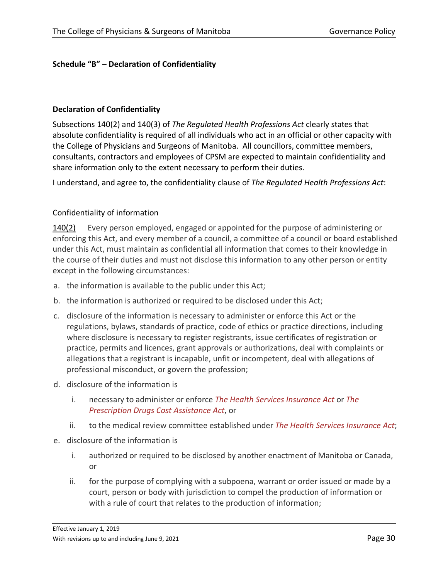# <span id="page-29-0"></span>**Schedule "B" – Declaration of Confidentiality**

#### **Declaration of Confidentiality**

Subsections 140(2) and 140(3) of *The Regulated Health Professions Act* clearly states that absolute confidentiality is required of all individuals who act in an official or other capacity with the College of Physicians and Surgeons of Manitoba. All councillors, committee members, consultants, contractors and employees of CPSM are expected to maintain confidentiality and share information only to the extent necessary to perform their duties.

I understand, and agree to, the confidentiality clause of *The Regulated Health Professions Act*:

# Confidentiality of information

[140\(2\)](http://web2.gov.mb.ca/laws/statutes/ccsm/r117f.php#140(2)) Every person employed, engaged or appointed for the purpose of administering or enforcing this Act, and every member of a council, a committee of a council or board established under this Act, must maintain as confidential all information that comes to their knowledge in the course of their duties and must not disclose this information to any other person or entity except in the following circumstances:

- a. the information is available to the public under this Act;
- b. the information is authorized or required to be disclosed under this Act;
- c. disclosure of the information is necessary to administer or enforce this Act or the regulations, bylaws, standards of practice, code of ethics or practice directions, including where disclosure is necessary to register registrants, issue certificates of registration or practice, permits and licences, grant approvals or authorizations, deal with complaints or allegations that a registrant is incapable, unfit or incompetent, deal with allegations of professional misconduct, or govern the profession;
- d. disclosure of the information is
	- i. necessary to administer or enforce *The Health Services Insurance Act* or *The Prescription Drugs Cost Assistance Act*, or
	- ii. to the medical review committee established under *The Health Services Insurance Act*;
- e. disclosure of the information is
	- i. authorized or required to be disclosed by another enactment of Manitoba or Canada, or
	- ii. for the purpose of complying with a subpoena, warrant or order issued or made by a court, person or body with jurisdiction to compel the production of information or with a rule of court that relates to the production of information;